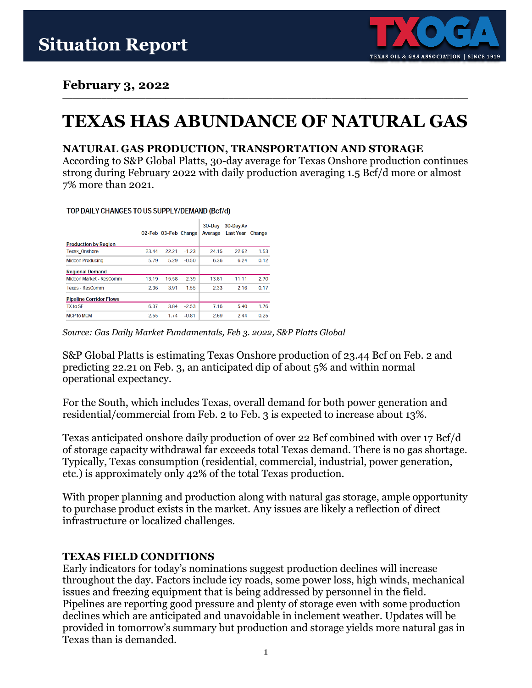

# **February 3, 2022**

# **TEXAS HAS ABUNDANCE OF NATURAL GAS**

**\_\_\_\_\_\_\_\_\_\_\_\_\_\_\_\_\_\_\_\_\_\_\_\_\_\_\_\_\_\_\_\_\_\_\_\_\_\_\_\_\_\_\_\_\_\_\_\_\_\_\_\_\_\_\_\_\_\_\_\_\_\_\_\_\_\_\_\_\_\_\_\_\_\_\_\_\_\_\_\_\_\_\_**

## **NATURAL GAS PRODUCTION, TRANSPORTATION AND STORAGE**

According to S&P Global Platts, 30-day average for Texas Onshore production continues strong during February 2022 with daily production averaging 1.5 Bcf/d more or almost 7% more than 2021.

TOP DAILY CHANGES TO US SUPPLY/DEMAND (Bcf/d)

| <b>Production by Region</b>    |       | 02-Feb 03-Feb Change |         | $30 - Day$<br>Average | 30-Day Av<br>Last Year | Change |
|--------------------------------|-------|----------------------|---------|-----------------------|------------------------|--------|
|                                |       |                      |         |                       |                        |        |
| <b>Texas Onshore</b>           | 23.44 | 22.21                | $-1.23$ | 24.15                 | 22.62                  | 1.53   |
| <b>Midcon Producing</b>        | 5.79  | 5.29                 | $-0.50$ | 6.36                  | 6.24                   | 0.12   |
| <b>Regional Demand</b>         |       |                      |         |                       |                        |        |
| Midcon Market - ResComm        | 13.19 | 15.58                | 2.39    | 13.81                 | 11.11                  | 2.70   |
| Texas - ResComm                | 2.36  | 3.91                 | 1.55    | 2.33                  | 2.16                   | 0.17   |
| <b>Pipeline Corridor Flows</b> |       |                      |         |                       |                        |        |
| TX to SE                       | 6.37  | 3.84                 | $-2.53$ | 7.16                  | 5.40                   | 1.76   |
| <b>MCP to MCM</b>              | 2.55  | 1.74                 | $-0.81$ | 2.69                  | 2.44                   | 0.25   |

*Source: Gas Daily Market Fundamentals, Feb 3. 2022, S&P Platts Global*

S&P Global Platts is estimating Texas Onshore production of 23.44 Bcf on Feb. 2 and predicting 22.21 on Feb. 3, an anticipated dip of about 5% and within normal operational expectancy.

For the South, which includes Texas, overall demand for both power generation and residential/commercial from Feb. 2 to Feb. 3 is expected to increase about 13%.

Texas anticipated onshore daily production of over 22 Bcf combined with over 17 Bcf/d of storage capacity withdrawal far exceeds total Texas demand. There is no gas shortage. Typically, Texas consumption (residential, commercial, industrial, power generation, etc.) is approximately only 42% of the total Texas production.

With proper planning and production along with natural gas storage, ample opportunity to purchase product exists in the market. Any issues are likely a reflection of direct infrastructure or localized challenges.

# **TEXAS FIELD CONDITIONS**

Early indicators for today's nominations suggest production declines will increase throughout the day. Factors include icy roads, some power loss, high winds, mechanical issues and freezing equipment that is being addressed by personnel in the field. Pipelines are reporting good pressure and plenty of storage even with some production declines which are anticipated and unavoidable in inclement weather. Updates will be provided in tomorrow's summary but production and storage yields more natural gas in Texas than is demanded.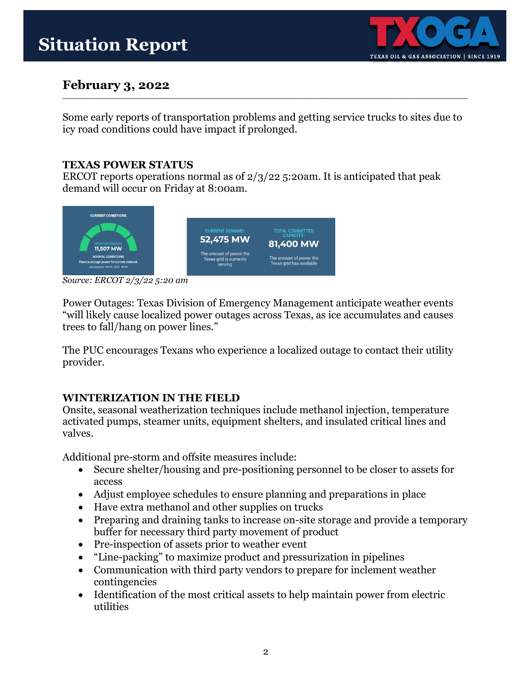

#### **February 3, 2022 \_\_\_\_\_\_\_\_\_\_\_\_\_\_\_\_\_\_\_\_\_\_\_\_\_\_\_\_\_\_\_\_\_\_\_\_\_\_\_\_\_\_\_\_\_\_\_\_\_\_\_\_\_\_\_\_\_\_\_\_\_\_\_\_\_\_\_\_\_\_\_\_\_\_\_\_\_\_\_\_\_\_\_**

Some early reports of transportation problems and getting service trucks to sites due to icy road conditions could have impact if prolonged.

# **TEXAS POWER STATUS**

ERCOT reports operations normal as of 2/3/22 5:20am. It is anticipated that peak demand will occur on Friday at 8:00am.



*Source: ERCOT 2/3/22 5:20 am*

Power Outages: Texas Division of Emergency Management anticipate weather events "will likely cause localized power outages across Texas, as ice accumulates and causes trees to fall/hang on power lines."

The PUC encourages Texans who experience a localized outage to contact their utility provider.

# **WINTERIZATION IN THE FIELD**

Onsite, seasonal weatherization techniques include methanol injection, temperature activated pumps, steamer units, equipment shelters, and insulated critical lines and valves.

Additional pre-storm and offsite measures include:

- Secure shelter/housing and pre-positioning personnel to be closer to assets for access
- Adjust employee schedules to ensure planning and preparations in place
- Have extra methanol and other supplies on trucks
- Preparing and draining tanks to increase on-site storage and provide a temporary buffer for necessary third party movement of product
- Pre-inspection of assets prior to weather event
- "Line-packing" to maximize product and pressurization in pipelines
- Communication with third party vendors to prepare for inclement weather contingencies
- Identification of the most critical assets to help maintain power from electric utilities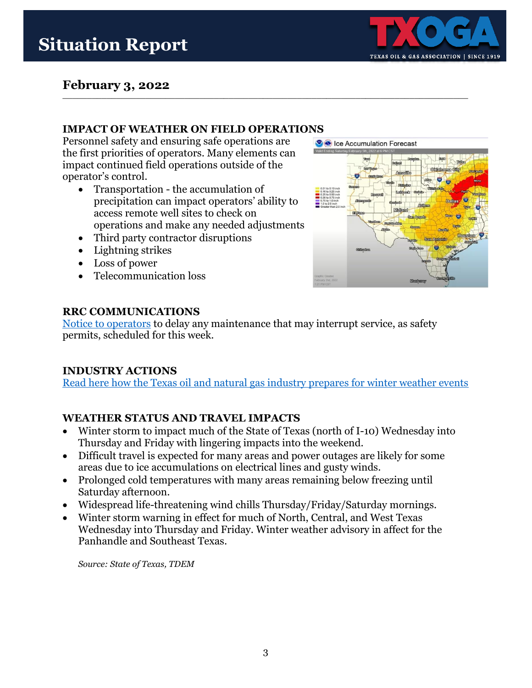# **Situation Report**



#### **February 3, 2022 \_\_\_\_\_\_\_\_\_\_\_\_\_\_\_\_\_\_\_\_\_\_\_\_\_\_\_\_\_\_\_\_\_\_\_\_\_\_\_\_\_\_\_\_\_\_\_\_\_\_\_\_\_\_\_\_\_\_\_\_\_\_\_\_\_\_\_\_\_\_\_\_\_\_\_\_\_\_\_\_\_\_\_**

## **IMPACT OF WEATHER ON FIELD OPERATIONS**

Personnel safety and ensuring safe operations are the first priorities of operators. Many elements can impact continued field operations outside of the operator's control.

- Transportation the accumulation of precipitation can impact operators' ability to access remote well sites to check on operations and make any needed adjustments
- Third party contractor disruptions
- Lightning strikes
- Loss of power
- Telecommunication loss



## **RRC COMMUNICATIONS**

[Notice to operators](https://rrc.texas.gov/media/zwip0wnb/2022_nto_cid_winter-weather_2-1-2022.pdf) to delay any maintenance that may interrupt service, as safety permits, scheduled for this week.

# **INDUSTRY ACTIONS**

[Read here how the Texas oil and natural gas industry prepares for winter weather events](https://www.txoga.org/texas-oil-and-natural-gas-industry-outlines-winter-weather-preparedness/)

# **WEATHER STATUS AND TRAVEL IMPACTS**

- Winter storm to impact much of the State of Texas (north of I-10) Wednesday into Thursday and Friday with lingering impacts into the weekend.
- Difficult travel is expected for many areas and power outages are likely for some areas due to ice accumulations on electrical lines and gusty winds.
- Prolonged cold temperatures with many areas remaining below freezing until Saturday afternoon.
- Widespread life-threatening wind chills Thursday/Friday/Saturday mornings.
- Winter storm warning in effect for much of North, Central, and West Texas Wednesday into Thursday and Friday. Winter weather advisory in affect for the Panhandle and Southeast Texas.

*Source: State of Texas, TDEM*